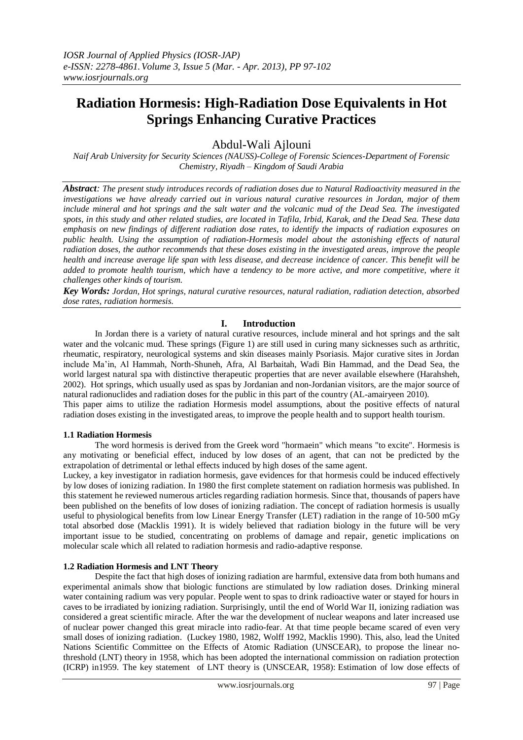# **Radiation Hormesis: High-Radiation Dose Equivalents in Hot Springs Enhancing Curative Practices**

Abdul-Wali Ajlouni

*Naif Arab University for Security Sciences (NAUSS)-College of Forensic Sciences-Department of Forensic Chemistry, Riyadh – Kingdom of Saudi Arabia*

*Abstract: The present study introduces records of radiation doses due to Natural Radioactivity measured in the investigations we have already carried out in various natural curative resources in Jordan, major of them include mineral and hot springs and the salt water and the volcanic mud of the Dead Sea. The investigated spots, in this study and other related studies, are located in Tafila, Irbid, Karak, and the Dead Sea. These data emphasis on new findings of different radiation dose rates, to identify the impacts of radiation exposures on public health. Using the assumption of radiation-Hormesis model about the astonishing effects of natural radiation doses, the author recommends that these doses existing in the investigated areas, improve the people health and increase average life span with less disease, and decrease incidence of cancer. This benefit will be added to promote health tourism, which have a tendency to be more active, and more competitive, where it challenges other kinds of tourism.*

*Key Words: Jordan, Hot springs, natural curative resources, natural radiation, radiation detection, absorbed dose rates, radiation hormesis.* 

# **I. Introduction**

In Jordan there is a variety of natural curative resources, include mineral and hot springs and the salt water and the volcanic mud. These springs (Figure 1) are still used in curing many sicknesses such as arthritic, rheumatic, respiratory, neurological systems and skin diseases mainly Psoriasis. Major curative sites in Jordan include Ma'in, Al Hammah, North-Shuneh, Afra, Al Barbaitah, Wadi Bin Hammad, and the Dead Sea, the world largest natural spa with distinctive therapeutic properties that are never available elsewhere (Harahsheh, 2002). Hot springs, which usually used as spas by Jordanian and non-Jordanian visitors, are the major source of natural radionuclides and radiation doses for the public in this part of the country (AL-amairyeen 2010). This paper aims to utilize the radiation Hormesis model assumptions, about the positive effects of natural radiation doses existing in the investigated areas, to improve the people health and to support health tourism.

## **1.1 Radiation Hormesis**

The word hormesis is derived from the Greek word "hormaein" which means "to excite". Hormesis is any motivating or beneficial effect, induced by low doses of an agent, that can not be predicted by the extrapolation of detrimental or lethal effects induced by high doses of the same agent.

Luckey, a key investigator in radiation hormesis, gave evidences for that hormesis could be induced effectively by low doses of ionizing radiation. In 1980 the first complete statement on radiation hormesis was published. In this statement he reviewed numerous articles regarding radiation hormesis. Since that, thousands of papers have been published on the benefits of low doses of ionizing radiation. The concept of radiation hormesis is usually useful to physiological benefits from low Linear Energy Transfer (LET) radiation in the range of 10-500 mGy total absorbed dose (Macklis 1991). It is widely believed that radiation biology in the future will be very important issue to be studied, concentrating on problems of damage and repair, genetic implications on molecular scale which all related to radiation hormesis and radio-adaptive response.

## **1.2 Radiation Hormesis and LNT Theory**

Despite the fact that high doses of ionizing radiation are harmful, extensive data from both humans and experimental animals show that biologic functions are stimulated by low radiation doses. Drinking mineral water containing radium was very popular. People went to spas to drink radioactive water or stayed for hours in caves to be irradiated by ionizing radiation. Surprisingly, until the end of World War II, ionizing radiation was considered a great scientific miracle. After the war the development of nuclear weapons and later increased use of nuclear power changed this great miracle into radio-fear. At that time people became scared of even very small doses of ionizing radiation. (Luckey 1980, 1982, Wolff 1992, Macklis 1990). This, also, lead the United Nations Scientific Committee on the Effects of Atomic Radiation (UNSCEAR), to propose the linear nothreshold (LNT) theory in 1958, which has been adopted the international commission on radiation protection (ICRP) in1959. The key statement of LNT theory is (UNSCEAR, 1958): Estimation of low dose effects of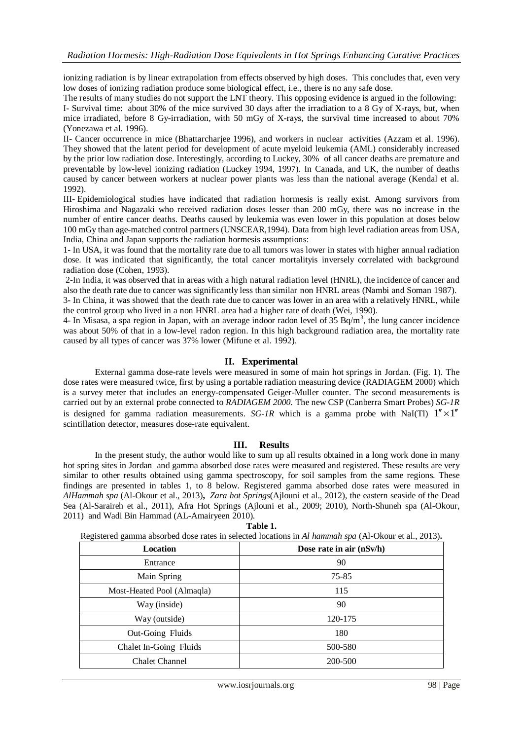ionizing radiation is by linear extrapolation from effects observed by high doses. This concludes that, even very low doses of ionizing radiation produce some biological effect, i.e., there is no any safe dose.

The results of many studies do not support the LNT theory. This opposing evidence is argued in the following:

I- Survival time: about 30% of the mice survived 30 days after the irradiation to a 8 Gy of X-rays, but, when mice irradiated, before 8 Gy-irradiation, with 50 mGy of X-rays, the survival time increased to about 70% (Yonezawa et al. 1996).

II- Cancer occurrence in mice (Bhattarcharjee 1996), and workers in nuclear activities (Azzam et al. 1996). They showed that the latent period for development of acute myeloid leukemia (AML) considerably increased by the prior low radiation dose. Interestingly, according to Luckey, 30% of all cancer deaths are premature and preventable by low-level ionizing radiation (Luckey 1994, 1997). In Canada, and UK, the number of deaths caused by cancer between workers at nuclear power plants was less than the national average (Kendal et al. 1992).

III- Epidemiological studies have indicated that radiation hormesis is really exist. Among survivors from Hiroshima and Nagazaki who received radiation doses lesser than 200 mGy, there was no increase in the number of entire cancer deaths. Deaths caused by leukemia was even lower in this population at doses below 100 mGy than age-matched control partners (UNSCEAR,1994). Data from high level radiation areas from USA, India, China and Japan supports the radiation hormesis assumptions:

1- In USA, it was found that the mortality rate due to all tumors was lower in states with higher annual radiation dose. It was indicated that significantly, the total cancer mortalityis inversely correlated with background radiation dose (Cohen, 1993).

2-In India, it was observed that in areas with a high natural radiation level (HNRL), the incidence of cancer and also the death rate due to cancer was significantly less than similar non HNRL areas (Nambi and Soman 1987).

3- In China, it was showed that the death rate due to cancer was lower in an area with a relatively HNRL, while the control group who lived in a non HNRL area had a higher rate of death (Wei, 1990).

4- In Misasa, a spa region in Japan, with an average indoor radon level of 35 Bq/m<sup>3</sup>, the lung cancer incidence was about 50% of that in a low-level radon region. In this high background radiation area, the mortality rate caused by all types of cancer was 37% lower (Mifune et al. 1992).

# **II. Experimental**

External gamma dose-rate levels were measured in some of main hot springs in Jordan. (Fig. 1). The dose rates were measured twice, first by using a portable radiation measuring device (RADIAGEM 2000) which is a survey meter that includes an energy-compensated Geiger-Muller counter. The second measurements is carried out by an external probe connected to *RADIAGEM 2000.* The new CSP (Canberra Smart Probes) *SG-1R* is designed for gamma radiation measurements. *SG-1R* which is a gamma probe with NaI(Tl)  $1'' \times 1''$ scintillation detector, measures dose-rate equivalent.

## **III. Results**

In the present study, the author would like to sum up all results obtained in a long work done in many hot spring sites in Jordan and gamma absorbed dose rates were measured and registered. These results are very similar to other results obtained using gamma spectroscopy, for soil samples from the same regions. These findings are presented in tables 1, to 8 below. Registered gamma absorbed dose rates were measured in *AlHammah spa* (Al-Okour et al., 2013)**,** *Zara hot Springs*(Ajlouni et al., 2012), the eastern seaside of the Dead Sea (Al-Saraireh et al., 2011), Afra Hot Springs (Ajlouni et al., 2009; 2010), North-Shuneh spa (Al-Okour, 2011) and Wadi Bin Hammad (AL-Amairyeen 2010).

| Registered gamma absorbed dose rates in selected locations in Al hammah spa (Al-Okour et al., 2013). |                            |  |
|------------------------------------------------------------------------------------------------------|----------------------------|--|
| Location                                                                                             | Dose rate in air $(nSv/h)$ |  |
| Entrance                                                                                             | 90                         |  |
| Main Spring                                                                                          | 75-85                      |  |
| Most-Heated Pool (Almaqla)                                                                           | 115                        |  |
| Way (inside)                                                                                         | 90                         |  |
| Way (outside)                                                                                        | 120-175                    |  |
| Out-Going Fluids                                                                                     | 180                        |  |
| Chalet In-Going Fluids                                                                               | 500-580                    |  |
| <b>Chalet Channel</b>                                                                                | 200-500                    |  |
|                                                                                                      |                            |  |

**Table 1.**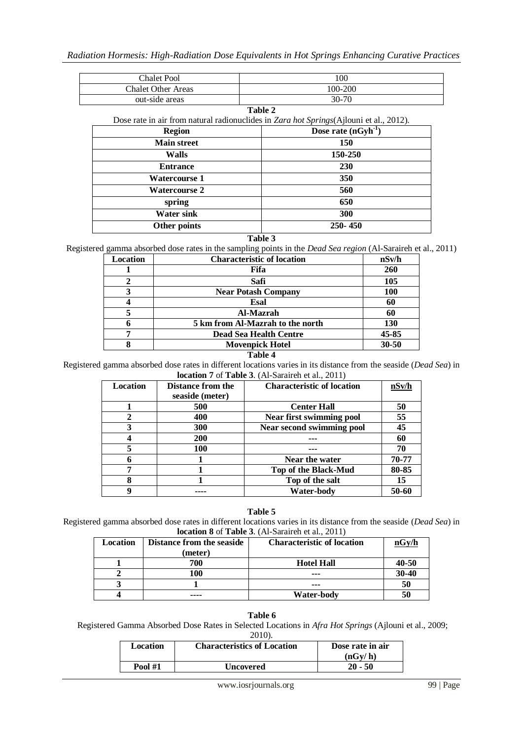| <b>Chalet Pool</b>        | 100                                                                                    |  |
|---------------------------|----------------------------------------------------------------------------------------|--|
| <b>Chalet Other Areas</b> | 100-200                                                                                |  |
| out-side areas            | $30 - 70$                                                                              |  |
|                           | Table 2                                                                                |  |
|                           | Dose rate in air from natural radionuclides in Zara hot Springs(Ajlouni et al., 2012). |  |
| <b>Region</b>             | Dose rate $(nGyh^{-1})$                                                                |  |
| <b>Main street</b>        | 150                                                                                    |  |
| <b>Walls</b>              | 150-250                                                                                |  |
| <b>Entrance</b>           | 230                                                                                    |  |
| <b>Watercourse 1</b>      | 350                                                                                    |  |
| <b>Watercourse 2</b>      | 560                                                                                    |  |
| spring                    | 650                                                                                    |  |
| <b>Water sink</b>         | 300                                                                                    |  |
| Other points              | $250 - 450$                                                                            |  |

## **Table 3**

Registered gamma absorbed dose rates in the sampling points in the *Dead Sea region* (Al-Saraireh et al., 2011)

| Location | <b>Characteristic of location</b> | nSv/h      |
|----------|-----------------------------------|------------|
|          | Fifa                              | 260        |
| 2        | Safi                              | 105        |
| 3        | <b>Near Potash Company</b>        | <b>100</b> |
|          | Esal                              | 60         |
|          | Al-Mazrah                         | 60         |
| 6        | 5 km from Al-Mazrah to the north  | 130        |
|          | <b>Dead Sea Health Centre</b>     | 45-85      |
|          | <b>Movenpick Hotel</b>            | $30 - 50$  |

#### **Table 4**

Registered gamma absorbed dose rates in different locations varies in its distance from the seaside (*Dead Sea*) in **location 7** of **Table 3**. (Al-Saraireh et al., 2011)

| Location | <b>Distance from the</b> | <b>Characteristic of location</b> | nSv/h |
|----------|--------------------------|-----------------------------------|-------|
|          | seaside (meter)          |                                   |       |
|          | 500                      | <b>Center Hall</b>                | 50    |
|          | 400                      | <b>Near first swimming pool</b>   | 55    |
|          | <b>300</b>               | <b>Near second swimming pool</b>  | 45    |
|          | <b>200</b>               |                                   | 60    |
|          | 100                      |                                   | 70    |
|          |                          | Near the water                    | 70-77 |
|          |                          | Top of the Black-Mud              | 80-85 |
| 8        |                          | Top of the salt                   | 15    |
|          |                          | Water-body                        | 50-60 |

#### **Table 5**

Registered gamma absorbed dose rates in different locations varies in its distance from the seaside (*Dead Sea*) in **location 8** of **Table 3**. (Al-Saraireh et al., 2011)

| <b>Location</b> | <b>Distance from the seaside</b><br>(meter) | <b>Characteristic of location</b> | nGy/h |
|-----------------|---------------------------------------------|-----------------------------------|-------|
|                 | 700                                         | <b>Hotel Hall</b>                 | 40-50 |
|                 | 100                                         | ---                               | 30-40 |
|                 |                                             | ---                               | 50    |
|                 | ----                                        | <b>Water-body</b>                 | 50    |

#### **Table 6**

Registered Gamma Absorbed Dose Rates in Selected Locations in *Afra Hot Springs* (Ajlouni et al., 2009;

| Location       | <b>Characteristics of Location</b> | Dose rate in air<br>(nGv/h) |
|----------------|------------------------------------|-----------------------------|
| <b>Pool #1</b> | Uncovered                          | $20 - 50$                   |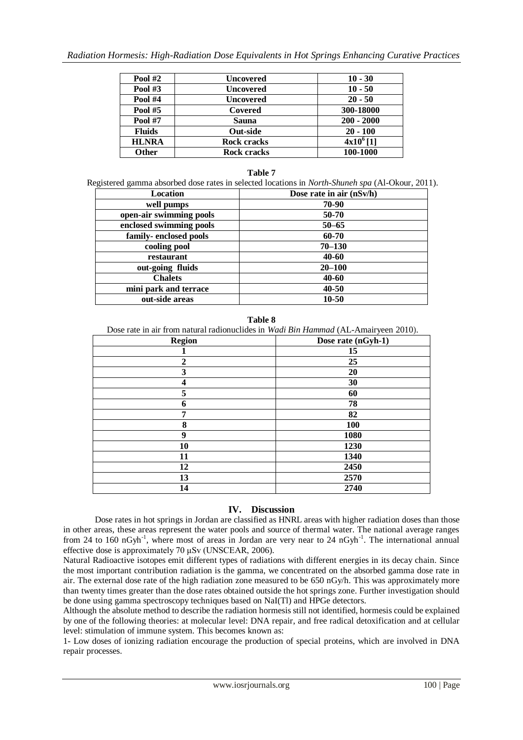| <b>Pool #2</b> | <b>Uncovered</b>   | $10 - 30$             |
|----------------|--------------------|-----------------------|
| Pool $#3$      | <b>Uncovered</b>   | $10 - 50$             |
| <b>Pool #4</b> | <b>Uncovered</b>   | $20 - 50$             |
| <b>Pool #5</b> | Covered            | 300-18000             |
| <b>Pool #7</b> | Sauna              | $200 - 2000$          |
| <b>Fluids</b>  | <b>Out-side</b>    | $20 - 100$            |
| <b>HLNRA</b>   | <b>Rock cracks</b> | 4x10 <sup>6</sup> [1] |
| Other          | Rock cracks        | 100-1000              |

# **Table 7**

Registered gamma absorbed dose rates in selected locations in *North-Shuneh spa* (Al-Okour, 2011).

| Location                | Dose rate in air $(nSv/h)$ |
|-------------------------|----------------------------|
| well pumps              | 70-90                      |
| open-air swimming pools | 50-70                      |
| enclosed swimming pools | $50 - 65$                  |
| family-enclosed pools   | 60-70                      |
| cooling pool            | $70 - 130$                 |
| restaurant              | 40-60                      |
| out-going fluids        | $20 - 100$                 |
| <b>Chalets</b>          | 40-60                      |
| mini park and terrace   | 40-50                      |
| out-side areas          | 10-50                      |

**Table 8**

Dose rate in air from natural radionuclides in *Wadi Bin Hammad* (AL-Amairyeen 2010).

|                  | $\sim$<br>$\tilde{\phantom{a}}$<br>$\overline{\phantom{a}}$ |
|------------------|-------------------------------------------------------------|
| <b>Region</b>    | Dose rate (nGyh-1)                                          |
|                  | 15                                                          |
| $\boldsymbol{2}$ | 25                                                          |
| $\mathbf{3}$     | 20                                                          |
| 4                | 30                                                          |
| 5                | 60                                                          |
| 6                | 78                                                          |
| 7                | 82                                                          |
| 8                | 100                                                         |
| 9                | 1080                                                        |
| 10               | 1230                                                        |
| 11               | 1340                                                        |
| 12               | 2450                                                        |
| 13               | 2570                                                        |
| 14               | 2740                                                        |

# **IV. Discussion**

Dose rates in hot springs in Jordan are classified as HNRL areas with higher radiation doses than those in other areas, these areas represent the water pools and source of thermal water. The national average ranges from 24 to 160 nGyh<sup>-1</sup>, where most of areas in Jordan are very near to 24 nGyh<sup>-1</sup>. The international annual effective dose is approximately 70 μSv (UNSCEAR, 2006).

Natural Radioactive isotopes emit different types of radiations with different energies in its decay chain. Since the most important contribution radiation is the gamma, we concentrated on the absorbed gamma dose rate in air. The external dose rate of the high radiation zone measured to be 650 nGy/h. This was approximately more than twenty times greater than the dose rates obtained outside the hot springs zone. Further investigation should be done using gamma spectroscopy techniques based on NaI(Tl) and HPGe detectors.

Although the absolute method to describe the radiation hormesis still not identified, hormesis could be explained by one of the following theories: at molecular level: DNA repair, and free radical detoxification and at cellular level: stimulation of immune system. This becomes known as:

1- Low doses of ionizing radiation encourage the production of special proteins, which are involved in DNA repair processes.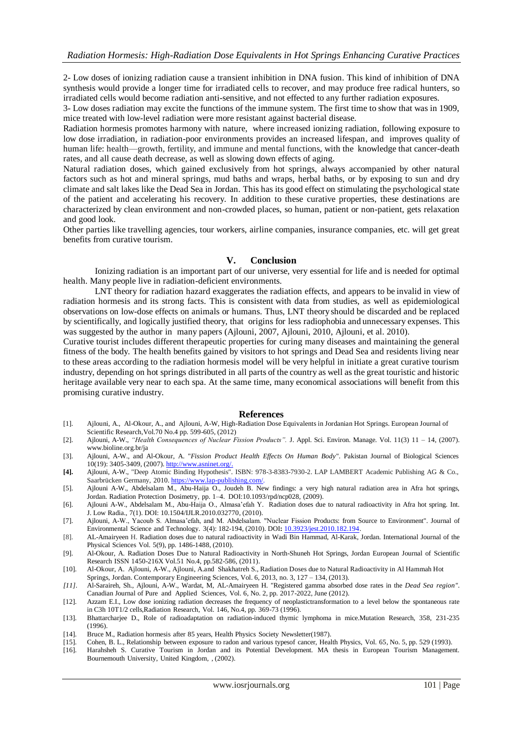2- Low doses of ionizing radiation cause a transient inhibition in DNA fusion. This kind of inhibition of DNA synthesis would provide a longer time for irradiated cells to recover, and may produce free radical hunters, so irradiated cells would become radiation anti-sensitive, and not effected to any further radiation exposures.

3- Low doses radiation may excite the functions of the immune system. The first time to show that was in 1909, mice treated with low-level radiation were more resistant against bacterial disease.

Radiation hormesis promotes harmony with nature, where increased ionizing radiation, following exposure to low dose irradiation, in radiation-poor environments provides an increased lifespan, and improves quality of human life: health—growth, fertility, and immune and mental functions, with the knowledge that cancer-death rates, and all cause death decrease, as well as slowing down effects of aging.

Natural radiation doses, which gained exclusively from hot springs, always accompanied by other natural factors such as hot and mineral springs, mud baths and wraps, herbal baths, or by exposing to sun and dry climate and salt lakes like the Dead Sea in Jordan. This has its good effect on stimulating the psychological state of the patient and accelerating his recovery. In addition to these curative properties, these destinations are characterized by clean environment and non-crowded places, so human, patient or non-patient, gets relaxation and good look.

Other parties like travelling agencies, tour workers, airline companies, insurance companies, etc. will get great benefits from curative tourism.

## **V. Conclusion**

Ionizing radiation is an important part of our universe, very essential for life and is needed for optimal health. Many people live in radiation-deficient environments.

LNT theory for radiation hazard exaggerates the radiation effects, and appears to be invalid in view of radiation hormesis and its strong facts. This is consistent with data from studies, as well as epidemiological observations on low-dose effects on animals or humans. Thus, LNT theoryshould be discarded and be replaced by scientifically, and logically justified theory, that origins for less radiophobia and unnecessary expenses. This was suggested by the author in many papers (Ajlouni, 2007, Ajlouni, 2010, Ajlouni, et al. 2010).

Curative tourist includes different therapeutic properties for curing many diseases and maintaining the general fitness of the body. The health benefits gained by visitors to hot springs and Dead Sea and residents living near to these areas according to the radiation hormesis model will be very helpful in initiate a great curative tourism industry, depending on hot springs distributed in all parts of the country as well as the great touristic and historic heritage available very near to each spa. At the same time, many economical associations will benefit from this promising curative industry.

## **References**

- [1]. Ajlouni, A., Al-Okour, A., and Ajlouni, A-W, High-Radiation Dose Equivalents in Jordanian Hot Springs. European Journal of Scientific Research,Vol.70 No.4 pp. 599-605, (2012)
- [2]. Ajlouni, A-W., *"Health Consequences of Nuclear Fission Products".* J. Appl. Sci. Environ. Manage. Vol. 11(3) 11 14, (2007). [www.bioline.org.br/ja](http://www.bioline.org.br/ja)
- [3]. Ajlouni, A-W., and Al-Okour, A. "*Fission Product Health Effects On Human Body*". [Pakistan Journal of Biological Sciences](file:///D:\AW%20Ajlouni\hormesis\Administrator\Desktop\BACKUP\Pakistan%20Journal%20of%20Biological%20Sciences%2010(19):%203405-3409,%202007)  [10\(19\): 3405-3409, \(2007\).](file:///D:\AW%20Ajlouni\hormesis\Administrator\Desktop\BACKUP\Pakistan%20Journal%20of%20Biological%20Sciences%2010(19):%203405-3409,%202007) [http://www.asninet.org/.](file:///D:\AW%20Ajlouni\hormesis\Administrator\Desktop\BACKUP\Pakistan%20Journal%20of%20Biological%20Sciences%2010(19):%203405-3409,%202007)
- **[4].** Ajlouni, A-W., "Deep Atomic Binding Hypothesis". ISBN: 978-3-8383-7930-2. LAP LAMBERT Academic Publishing AG & Co., Saarbrücken Germany, 2010. [https://www.lap-publishing.com/.](https://www.lap-publishing.com/)
- [5]. Ajlouni A-W., Abdelsalam M., Abu-Haija O., Joudeh B. New findings: a very high natural radiation area in Afra hot springs, Jordan. Radiation Protection Dosimetry, pp. 1–4. DOI:10.1093/rpd/ncp028, (2009).
- [6]. Ajlouni A-W., Abdelsalam M., Abu-Haija O., Almasa'efah Y. Radiation doses due to natural radioactivity in Afra hot spring. Int. J. Low Radia., 7(1). DOI: 10.1504/IJLR.2010.032770, (2010).
- [7]. Ajlouni, A-W., Yacoub S. Almasa'efah, and M. Abdelsalam. "Nuclear Fission Products: from Source to Environment". Journal of Environmental Science and Technology. 3(4): 182-194, (2010). DOI**:** [10.3923/jest.2010.182.194.](http://dx.doi.org/10.3923/jest.2010.182.194)
- [8]. AL-Amairyeen H. Radiation doses due to natural radioactivity in Wadi Bin Hammad, Al-Karak, Jordan. International Journal of the Physical Sciences Vol. 5(9), pp. 1486-1488, (2010).
- [9]. Al-Okour, A. Radiation Doses Due to Natural Radioactivity in North-Shuneh Hot Springs, Jordan European Journal of Scientific Research ISSN 1450-216X Vol.51 No.4, pp.582-586, (2011).
- [10]. Al-Okour, A. Ajlouni, A-W., Ajlouni, A.and Shakhatreh S., Radiation Doses due to Natural Radioactivity in Al Hammah Hot Springs, Jordan. Contemporary Engineering Sciences, Vol. 6, 2013, no. 3, 127 – 134, (2013).
- *[11].* Al-Saraireh, Sh., Ajlouni, A-W., Wardat, M, AL-Amairyeen H. "Registered gamma absorbed dose rates in the *Dead Sea region"*. Canadian Journal of Pure and Applied Sciences, Vol. 6, No. 2, pp. 2017-2022, June (2012).
- [12]. Azzam E.I., Low dose ionizing radiation decreases the frequency of neoplastictransformation to a level below the spontaneous rate in C3h 10T1/2 cells,Radiation Research, Vol. 146, No.4, pp. 369-73 (1996).
- [13]. Bhattarcharjee D., Role of radioadaptation on radiation-induced thymic lymphoma in mice.Mutation Research, 358, 231-235 (1996).
- [14]. Bruce M., Radiation hormesis after 85 years, Health Physics Society Newsletter(1987).
- [15]. Cohen, B. L., Relationship between exposure to radon and various typesof cancer, Health Physics, Vol. 65, No. 5, pp. 529 (1993).
- [16]. Harahsheh S. Curative Tourism in Jordan and its Potential Development. MA thesis in European Tourism Management. Bournemouth University, United Kingdom, , (2002).